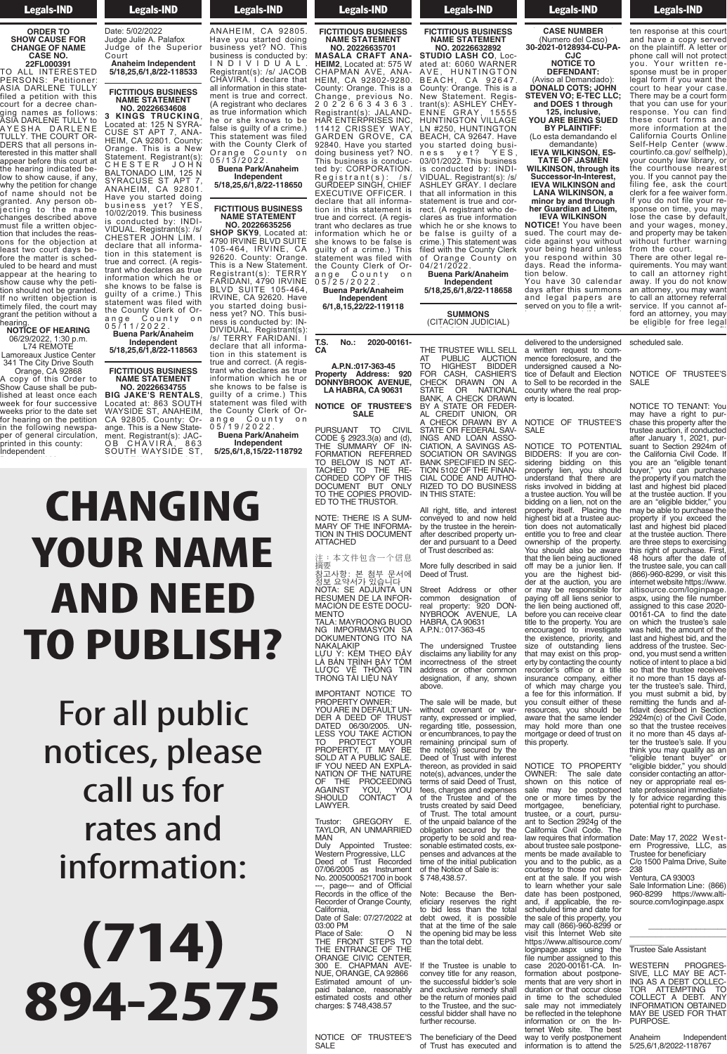#### Legals-IND

#### **ORDER TO SHOW CAUSE FOR CHANGE OF NAME CASE NO.**

**22FL000391** TO ALL INTERESTED PERSONS: Petitioner: ASIA DARLENE TULLY filed a petition with this court for a decree changing names as follows: ASIA DARLENE TULLY to AYESHA DARLENE TULLY. THE COURT OR-DERS that all persons interested in this matter shall appear before this court at the hearing indicated below to show cause, if any, why the petition for change of name should not be granted. Any person objecting to the name changes described above must file a written objection that includes the reasons for the objection at least two court days before the matter is scheduled to be heard and must appear at the hearing to show cause why the petition should not be granted. If no written objection is timely filed, the court may grant the petition without a

#### hearing. **NOTICE OF HEARING** 06/29/2022, 1:30 p.m. L74 REMOTE

Lamoreaux Justice Center 341 The City Drive South Orange, CA 92868

A copy of this Order to Show Cause shall be published at least once each week for four successive weeks prior to the date set for hearing on the petition in the following newspaper of general circulation, printed in this county: Independent

**Example 18 Legals-IND**  $\frac{1}{2}$   $\frac{1}{2}$   $\frac{1}{2}$   $\frac{1}{2}$   $\frac{1}{2}$   $\frac{1}{2}$   $\frac{1}{2}$   $\frac{1}{2}$   $\frac{1}{2}$   $\frac{1}{2}$   $\frac{1}{2}$   $\frac{1}{2}$   $\frac{1}{2}$   $\frac{1}{2}$   $\frac{1}{2}$   $\frac{1}{2}$   $\frac{1}{2}$   $\frac{1}{2}$   $\frac{1}{2}$   $\frac{1}{2}$   $\frac{1}{2}$   $\frac{1}{2}$  Independent Date: 5/02/2022 Judge Julie A. Palafox Judge of the Superior **Court** 

in the following newspa-

**Anaheim Independent 5/18,25,6/1,8/22-118533**

#### **FICTITIOUS BUSINESS NAME STATEMENT NO. 20226634608**

**3 KINGS TRUCKING**, Located at: 125 N SYRA-CUSE ST APT 7, ANA-HEIM, CA 92801. County: Orange. This is a New Statement. Registrant(s): C H E S T E R J O H N BALTONADO LIM, 125 N SYRACUSE ST APT 7, ANAHEIM, CA 92801. Have you started doing business yet? YES, 10/02/2019. This business is conducted by: INDI-VIDUAL. Registrant(s): /s/ CHESTER JOHN LIM. I declare that all information in this statement is true and correct. (A registrant who declares as true information which he or she knows to be false is guilty of a crime.) This statement was filed with the County Clerk of Orange County on

0 5 / 1 1 / 2 0 2 2 . **Buena Park/Anaheim Independent 5/18,25,6/1,8/22-118563**

## **FICTITIOUS BUSINESS**

**NAME STATEMENT NO. 20226634755 BIG JAKE'S RENTALS**, Located at: 863 SOUTH WAYSIDE ST, ANAHEIM, CA 92805. County: Orange. This is a New Statement. Registrant(s): JAC-OB CHAVIRA, 863 SOUTH WAYSIDE ST,

ANAHEIM, CA 92805. Have you started doing business yet? NO. This business is conducted by: I N D I V I D U A L . Registrant(s): /s/ JACOB CHAVIRA. I declare that all information in this statement is true and correct. (A registrant who declares as true information which he or she knows to be false is guilty of a crime.) This statement was filed with the County Clerk of Orange County on

0 5 / 1 3 / 2 0 2 2 . **Buena Park/Anaheim Independent 5/18,25,6/1,8/22-118650**

4790 IRVINE BLVD SUITE 105-464, IRVINE, CA 92620. County: Orange. This is a New Statement. Registrant(s): TERRY FARIDANI, 4790 IRVINE BLVD SUITE 105-464, IRVINE, CA 92620. Have you started doing business yet? NO. This business is conducted by: IN-DIVIDUAL. Registrant(s): /s/ TERRY FARIDANI. I declare that all information in this statement is true and correct. (A registrant who declares as true information which he or she knows to be false is guilty of a crime.) This statement was filed with

ange County on 0 5 / 1 9 / 2 0 2 2 . **Buena Park/Anaheim Independent**

#### **CHANGING YOUR NAME AND NEED TO PUBLISH?**  $\blacksquare$   $\blacksquare$   $\blacksquare$   $\blacksquare$ Registrant(s): /s/ JACOB CHAVIRA. I declare that all information in this statement is true and correct.  $\mathcal{A}$ as true information which he was a false is guilty of a crime.) This statement was filed  $\overline{\phantom{a}}$  and  $\overline{\phantom{a}}$  and  $\overline{\phantom{a}}$  and  $\overline{\phantom{a}}$ 0 5 / 1 3 / 2 0 2 2 . **Buena Park/Anaheim Independent 5/18,25,6/1,8/22-118650 Anaheim Independent 5/18,25,6/1,8/22-118533**

For all public notices, please call us for rates and information:

# **(714) 894-2575**

## **Example 18 Legals-IND**  $\overline{\phantom{a}}$   $\overline{\phantom{a}}$   $\overline{\phantom{a}}$   $\overline{\phantom{a}}$   $\overline{\phantom{a}}$   $\overline{\phantom{a}}$   $\overline{\phantom{a}}$   $\overline{\phantom{a}}$   $\overline{\phantom{a}}$   $\overline{\phantom{a}}$   $\overline{\phantom{a}}$   $\overline{\phantom{a}}$   $\overline{\phantom{a}}$   $\overline{\phantom{a}}$   $\overline{\phantom{a}}$   $\overline{\phantom{a}}$   $\overline{\phantom{a}}$   $\overline{\phantom{a}}$   $\overline{\$ SOUTH WAYSIDE ST,

Legals-IND **FICTITIOUS BUSINESS NAME STATEMENT**





**Buena Park/Anaheim Independent 6/1,8,15,22/22-119118**

#### Legals-IND **FICTITIOUS BUSINESS NAME STATEMENT NO. 20226632892 STUDIO LASH CO**, Located at: 6060 WARNER AVE, HUNTINGTON

BEACH, CA 92647. County: Orange. This is a New Statement. Registrant(s): ASHLEY CHEY-ENNE GRAY, 15555 HUNTINGTON VILLAGE LN #250, HUNTINGTON BEACH, CA 92647. Have you started doing business yet? YES, 03/01/2022. This business is conducted by: INDI-VIDUAL. Registrant(s): /s/ ASHLEY GRAY. I declare that all information in this statement is true and correct. (A registrant who declares as true information which he or she knows to be false is guilty of a crime.) This statement was filed with the County Clerk of Orange County on 04/21/2022.

**Buena Park/Anaheim Independent 5/18,25,6/1,8/22-118658**

**SUMMONS** (CITACION JUDICIAL) **CASE NUMBER**

(Numero del Caso) **30-2021-0128934-CU-PA-** $\overline{C}$ **NOTICE TO DEFENDANT:** ON OASH, SASHEH<br>HECK DRAWN ON<br>TATE OB NATIONA STATE OF BATIONAL **A** STATE OR FEDE **125, inclusive, CHECK DRAWN BY BIRWIN**<br>FOR FFDFRAI UGS AND LOAN ASSO **IATION, A SAVINGS AS**<br>**IATION, A SAVINGS AS TATELY ON ONE**<br>**JK SPECIFIED IN S** 

THE TRUSTEE WILL SELL AT PUBLIC AUCTION TO HIGHEST BIDDER FOR CASH, CASHIER'S

CHECK DRAWN ON A<br>STATE OR NATIONAL<br>BANK, A CHECK DRAWN<br>BY A STATE OR FEDER-<br>AL CREDIT UNION, OR<br>A CHECK DRAWN BY A<br>STATE OR FEDERAL SAV-

INGS AND LOAN ASSO-<br>CIATION, A SAVINGS AS-<br>SOCIATION OR SAVINGS

of Trust described as:

Deed of Trus

**CASE NUMBER** 

(Numero del Caso) **30-2021-0128934-CU-PA-CJC NOTICE TO DEFENDANT:**

**Legals-IND** 

(Aviso al Demandado): **DONALD COTS; JOHN STEVEN VO; E-TEC LLC; and DOES 1 through 125, inclusive,**

**YOU ARE BEING SUED BY PLAINTIFF:** (Lo esta demandando el

demandante) **IEVA WILKINSON, ES-TATE OF JASMEN WILKINSON, through its**

**Successor-In-Interest, IEVA WILKINSON and LANA WILKINSON, a minor by and through her Guardian ad Litem,**

**IEVA WILKINSON NOTICE!** You have been sued. The court may decide against you without your being heard unless tion below.

ten response at this court

delivered to the undersigned a written request to com-<br>mence foreclosure, and the

a willich request to com-<br>monco foroclosure and the literice ioreclosure, and the<br>undersigned caused a Noundersigned caused a no-<br>tice of Default and Flection  $\frac{1}{10}$  There are a control in the thermoed in the the control is the control in the the to bell to be recorded in the<br>county where the real propcounty where the real prop-<br>arty is located

on the plaintiff. A letter or

undersigned caused a No-<br>tice of Default and Election<br>to Sell to be recorded in the<br>county where the real prop-<br>erty is located.

NOTICE OF TRUSTEE'S SALE NOTICE TO POTENTIAL

NOTICE OF TRUSTEE'S NOTICE OF HICCILLO<br>SALF  $\overline{a}$ NOTICE TO TOTENTING BIBBENO: If you are con-<br>sidering bidding on this eliae.ing bidding on alle

phone call will not protect you. Your written response must be in proper legal form if you want the court to hear your case. There may be a court form that you can use for your response. You can find these court forms and more information at the California Courts Online Self-Help Center (www. courtinfo.ca.gov/ selfhelp), your county law library, or the courthouse nearest you. If you cannot pay the filing fee, ask the court clerk for a fee waiver form. If you do not file your response on time, you may lose the case by default, and your wages, money, and property may be taken

There are other legal requirements. You may want

scheduled sale.  $S$ Guedale these non-

NOTICE OF TRUSTEE'S NOTICE OF HIGHTLES ONLL SERVICE

NOTICE TO TENANT: You may have a right to pur-<br>chase this property after the<br>trustee auction, if conducted<br>after January 1, 2021, pur-<br>suant to Section 2924m of may have a nght to par-<br>chase this property after the<br>trustee auction. if conducted me and design<br>this right of pu ter the trustee's sale. If you

above. The sale will be made, but without covenant or war-ranty, expressed or implied, regarding title, possession, or encumbrances, to pay the remaining principal sum of the note(s) secured by the Deed of Trust with interest thereon, as provided in said you consult either of these resources, you should be aware that the same lender may hold more than one mortgage or deed of trust on this property. aware that the same lender may hold more than one mortgage or deed of trust on court's lien must be paid The sale will be made, but without covenant or warranty, expressed or implied, regarding title, possession, or encumbrances, to pay the remaining principal sum of the note(s) secured by the Deed of Trust with interest

note(s), advances, under the<br>terms of said Deed of Trust, fees, charges and expenses<br>of the Trustee and of the trusts created by said Deed of Trust. The total amount<br>of the unpaid balance of the obligation secured by the<br>property to be sold and reaproperty to be sold and rea- sonable estimated costs, ex- penses and advances at the time of the initial publication of the Notice of Sale is:<br> $27.7$  $$748,438.57.$ thereon, as provided in said terms of said Deed of Trust, of the unpaid balance of the sonable estimated costs, expenses and advances at the time of the initial publication

Note: Because the Ben-<br>eficiary reserves the right<br>to bid less than the total debt owed, it is possible<br>that at the time of the sale the opening bid may be less than the total debt. Note: Because the Ben-Note: Because the Beneliciary reserves the right to bid less than the total that at the time of the sale the opening bid may be less than the total debt.

If the Trustee is unable to convey title for any reason,<br>the successful bidder's sole and exclusive remedy shall be the return of monies paid to the Trustee, and the suc-<br>cessful bidder shall have no further recourse.  $C = C \cdot \frac{1}{2}$  on  $C = C \cdot \frac{1}{2}$ government in the succession place is sole and exclusive remedy shall be the return of monies paid.<br>to the Trustee, and the sus cessiul biddel stiali flave flo<br>further recourse

The beneficiary of the Deed The beneficially of the Deed<br>of Trust has executed and

you respond within 30 days. Read the informa-You have 30 calendar days after this summons and legal papers are served on you to file a writ-

without further warning from the court.

to call an attorney right away. If you do not know an attorney, you may want to call an attorney referral service. If you cannot afford an attorney, you may be eligible for free legal services from a nonprofit

NOTICE TO TENANT: You THOTICL TO TENTATION

the California Civil Code. If you are an "eligible tenant buyer," you can purchase the property if you match the last and highest bid placed<br>at the trustee auction. If you<br>may be able to purchase the<br>property if you exceed the<br>last and highest bid placed<br>at the trustee auction. There are three steps to exercising this right of purchase. First, 48 hours after the date of the trustee sale, you can call (866)-960-8299, or visit this internet website https://www. altisource.com/loginpage. aspx, using the file number assigned to this case 2020- 00161-CA to find the date on which the trustee's sale was held, the amount of the last and highest bid, and the address of the trustee. Second, you must send a written notice of intent to place a bid so that the trustee receives it no more than 15 days af-ter the trustee's sale. Third, you must submit a bid, by remitting the funds and af-fidavit described in Section 2924m(c) of the Civil Code, so that the trustee receives it no more than 45 days afastec duction, il conducted<br>after January 1 2021 nurand canaary  $\frac{1}{2}$ ,  $\frac{20}{2}$ ,  $\frac{1}{2}$  on  $\frac{1}{2}$ buunt to bediton Ese-mil of<br>the California Civil Code If and damonna divir doud. ii<br>vou are an "eligible tenant you are an eigible tenant.<br>huver" vou can nurchase  $\frac{1}{2}$  court  $\frac{1}{2}$  can be paid to the are proporty in you matern are<br>last and highest hid placed ab and nighted bid placed<br>at the trustee auction. If you<br>are an "eligible bidder" you  $\frac{1}{2}$  and  $\frac{1}{2}$  and  $\frac{1}{2}$  is no response the may be able to purchase the may be able to paremase the property in your concept the at the trustee auction. There and hours after the date of the trustee sale, you can call (866)-960-8299. or visit this internet website https://www. altisource.com/loginpage. aspx. using the file number assigned to this case 2020- $00161$ -CA to find the date on which the trustee's sale last and highest bid, and the address of the trustee. Secso that the trustee receives it no more than 15 days after the trustee's sale. Third, remitting the funds and affidavit described in Section 2924m(c) of the Civil Code, so that the trustee receives it no more than 45 days af-

ter the trustee's sale. If you<br>think you may qualify as an<br>"eligible tenant buyer" or<br>consider contacting an attor-<br>consider contacting an attor-<br>ney or appropriate real es-<br>tate professional immediate-<br>ly for advice regar ly for advice regarding this<br>potential right to purchase. think you may qualify as an "eligible tenant buyer" or "eligible bidder," you should consider contacting an attorney or appropriate real estate professional immediate-

Date: May 17, 2022 West-<br>ern Progressive, LLC, as<br>Trustee for beneficiary C/o 1500 Palma Drive, Suite 238 la corte le podra quitar su Date: May 17, 2022 West-Trustee for beneficiary  $\epsilon$ 

238<br>Ventura, CA 93003 Sale Information Line: (866) 960-8299 https://www.alti- source.com/loginpage.aspx Ventura, CA 93003 $($ Sale Information Line: (866) 960-8299 https://www.altisource.com/loginpage.aspx

 $\frac{1}{\sqrt{2}}$  ,  $\frac{1}{\sqrt{2}}$  ,  $\frac{1}{\sqrt{2}}$  ,  $\frac{1}{\sqrt{2}}$  ,  $\frac{1}{\sqrt{2}}$  ,  $\frac{1}{\sqrt{2}}$  ,  $\frac{1}{\sqrt{2}}$  ,  $\frac{1}{\sqrt{2}}$  ,  $\frac{1}{\sqrt{2}}$  ,  $\frac{1}{\sqrt{2}}$  ,  $\frac{1}{\sqrt{2}}$  ,  $\frac{1}{\sqrt{2}}$  ,  $\frac{1}{\sqrt{2}}$  ,  $\frac{1}{\sqrt{2}}$  ,  $\frac{1}{\sqrt{2}}$  $\overline{\phantom{a}}$  , we can also the contract of  $\overline{\phantom{a}}$ 

cum planet cum planet con los requisitos con los requisitos con los requisitos con los requisitos con los requisitos con los requisitos con los requisitos con los requisitos con los requisitos con los requisitos con los re

**Trustee Sale Assistant** para obtener servicios les estados de la contradición de la contradición de la contradición de la contradición<br>En la contradición de la contradición de la contradición de la contradición de la contradición de la contradici rustee Sale Assistant

WESTERN PROGRES-SIVE, LLC MAY BE ACT-ING AS A DEBT COLLEC-TOR ATTEMPTING TO COLLECT A DEBT. ANY INFORMATION OBTAINED MAY BE USED FOR THAT PURPOSE. WESTERN PROGRES-WESTERN PRUGRES-<br>CUE LLO MAY DE ACT SIVE, LLU MAY BE AUT-<br>INC 10 1 DEDT COLLEC ING AS A DEBT COLLEC-<br>TOD \_\_ATTEMBTING\_\_\_TO I U A L I E MP I ING I LU<br>COLLECT A DEDT ANY UULLEUT A DEBT. ANY<br>INFORMATION ORTAINED INFURIVIATIUN UDTAINED<br>MAY DE LIGED EOD TUAT IVIAI DE USED FUR ITIAI<br>DUDDOCE

Anaheim Independent Ananemin<br>5/25,6/1,8/2022-118767

BANK SPECIFIED IN SEC-<br>TION 5102 OF THE FINAN-<br>CIAL CODE AND AUTHO-**RIZED TO DO BUSINESS** IN THIS STATE: **LANA WILKINSON, a** All right, title, and interest<br>conveyed to and now held<br>by the trustee in the herein-<br>after described property un-<br>der and pursuant to a Deed More fully described in said Deed of Trust. BIDDERS: If you are con-sidering bidding on this property lien, you should understand that there are risks involved in bidding at<br>a trustee auction. You will be<br>bidding on a lien, not on the<br>property itself. Placing the<br>highest bid at a trustee auction does not automatically entitle you to free and clear ownership of the property. You should also be aware proporty from, you chound  $i$  do not find the  $i$  and  $i$  and  $j$  and  $j$  and  $j$  and  $j$  and  $j$  and  $j$  and  $j$  and  $j$  and  $j$  and  $j$  and  $j$  and  $j$  and  $j$  and  $j$  and  $j$  and  $j$  and  $j$  and  $j$  and  $j$  and  $j$  and  $j$  and  $j$  and  $j$  and none interted in onceaning at a *a acces declined from the*<br>bidding on a lien not on the sidding on a list, het en the<br>property itself. Placing the highest bid at a trustee aucwith the warness of the ward from about not det  $\frac{1}{2}$  compared to  $\frac{1}{2}$  and  $\frac{1}{2}$  respectively. You should also be aware **SILONE OF THE LIBRARY minor by and through h** right title and interest *I* **B** *I*<sub>2</sub>, **I**<sub>3</sub>, **I**<sub>3</sub>, **I**<sub>3</sub>, **I**<sub>3</sub>, **I**<sub>3</sub>, **I**<sub>3</sub>, **I**<sub>3</sub>, **I**<sub>3</sub>, **I**<sub>3</sub>, **I**<sub>3</sub>, **I**<sub>3</sub>, **I**<sub>3</sub>, **I**<sub>3</sub>, **I**<sub>3</sub>, **I**<sub>3</sub>, **I**<sub>3</sub>, **I**<sub>3</sub>, **I**<sub>3</sub>, **I**<sub>3</sub>, **I**<sub>3</sub>, **I**<sub>3</sub>, **I**<sub>3</sub>, **I**<sub>3</sub>, **I**<sub>3</sub>, **I**<sub>3</sub>, **I**<sub>3</sub> by the trustee in the hereinsy the court may deep the court may cide and pursuant to a Deed of Trust described as: More fully described in said

erty is located.

Street Address or other common designation of real property: 920 DON- NYBROOK AVENUE, LA HABRA, CA 90631 A.P.N.: 017-363-45 The undersigned Trustee disclaims any liability for any incorrectness of the street address or other common designation, if any, shown that the lien being auctioned off may be a junior lien. If you are the highest bidder at the auction, you are<br>paying off all liens senior to<br>the lien being auctioned off,<br>before you can receive clear<br>title to the property. You are encouraged to investigate the existence, priority, and size of outstanding liens that may exist on this property by contacting the county<br>recorder's office or a title<br>insurance company, either of which may charge you a fee for this information. If off may be a junior lien. If vou are the highest bidder at the auction, you are or may be responsible for paving off all liens senior to the lien being auctioned off,<br>before you can receive clear<br>title to the property. You are the existence, priority, and size of outstanding liens that may exist on this property by contacting the county recorder's office or a title insurance company, either of which may charge you a fee for this information. If you consult either of these<br>resources, you should be Street Address or other common designation of real property: 920 DON-NYBROOK AVENUE, LA HABRA, CA 90631 The undersigned Trustee disclaims any liability for any incorrectness of the street address or other common designation, if any, shown

> NOTICE TO PROPERTY OWNER: The sale date<br>shown on this notice of sale may be postponed one or more times by the mortgagee, beneficiary,<br>trustee, or a court, pursu-<br>ant to Section 2924g of the<br>California Civil Code. The<br>law requires that information about trustee sale postpone-<br>ments be made available to you and to the public, as a you and to the public, as a<br>courtesy to those not pres-<br>ent at the sale. If you wish to learn whether your sale<br>date has been postponed, and, if applicable, the re-<br>scheduled time and date for the sale of this property, you<br>may call (866)-960-8299 or visit this Internet Web site https://www.altisource.com/ loginpage.aspx using the file number assigned to this case 2020-00161-CA. In- formation about postponements that are very short in NOTICE TO PROPERTY mortgagee, beneficiary, trustee, or a court, pursuant to Section 2924g of the California Civ law requires that information ments be made available to courtesy to those not present at the sale. If you wish date has been postponed, scheduled time and date for may call (866)-960-8299 or<br>visit this Internet Web site nttps://www.aitisource.com/ loginpage.aspx using the file number assigned to this case 2020-00161-CA. In-<br>formation shout nectnons Publication about posiponements that are very snort in

duration or that occur close in time to the scheduled sale may not immediately be reflected in the telephone information or on the In-ternet Web site. The best way to verify postponement information is to attend the duration or that occur close in ume to the scrieduled<br>colormay not immodiately sale Thay Tiot Immediately<br>he reflected in the telephone correction or an the la<br>procession or an the la momialion or on the m-<br>ternet Web site. The best condado condado en la corte<br>Condado de la corte de la corte de la corte de la corte de la corte de la corte de la corte de la corte de la way to verify posiponement<br>information is to attend the

**Example 18 Legals-IND**  $\overline{\phantom{a}}$  and  $\overline{\phantom{a}}$ 

ten response at this court ten response at this court and have <sup>a</sup> copy served on the plaintiff. A letter or

**T.S. No.: 2020-00161- CA A.P.N.:017-363-45 Property Address: 920 DONNYBROOK AVENUE, LA HABRA, CA 90631** 0 5 / 2 5 / 2 0 2 2 . **FICTITIOUS BUSINESS NAME STATEMENT NO. 20226635256 SHOP SKY9**, Located at:

the County Clerk of Or-

**5/25,6/1,8,15/22-118792**

**NOTICE OF TRUSTEE'S SALE** PURSUANT TO CIVIL<br>
CODE § 2923.3(a) and (d),<br>
THE SUMMARY OF IN-<br>
FORMATION REFERRED<br>
TO BELOW IS NOT AT-<br>
TACHED TO THE RE-<br>
CORDED COPY OF THIS<br>
DOCUMENT BUT ONLY<br>
TO THE COPIES PROVID-<br>
ED TO THE TRUSTOR.

NOTE: THERE IS A SUM- MARY OF THE INFORMA-TION IN THIS DOCUMENT

注:本文件包含一个信息

참고사항: 본 첨부 문서에 정보 요약서가 있습니다 NOTA: SE ADJUNTA UN RESUMEN DE LA INFOR-

MACION DE ESTE DOCU-<br>MENTO<br>TALA: MAYROONG BUOD<br>NG IMPORMASYON SA

DOKUMENTONG ITO NA<br>NAKALAKIP<br>LƯU Ý: KÈM THEO ĐÂY<br>LÀ BẢN TRÌNH BÀY TÓM<br>LƯỢC VỀ THỐNG TÌN<br>TRONG TÀI LIỆU NÀY

IMPORTANT NOTICE TO<br>PROPERTY OWNER:<br>YOU ARE IN DEFAULT UN-<br>DER A DEED OF TRUST<br>DATED 06/30/2005. UN-<br>LESS YOU TAKE ACTION<br>TO PROPERTY, IT MAY BE<br>SOLD AT A PUBLIC SALE.<br>IF YOU NEED AN EXPLA-<br>NATION OF THE NATURE<br>OF THE PROC

Trustor: GREGORY E. TAYLOR, AN UNMARRIED MAN

Duly Appointed Trustee:<br>
Western Progressive, LLC<br>
Deed of Trust Recorded<br>
07/06/2005 as Instrument<br>
No. 2005000521700 in book<br>
---, page--- and of Official<br>
Records in the office of the

Recorder of Orange County, California, Date of Sale: 07/27/2022 at 03:00 PM

Place of Sale: 0<br>THE FRONT STEPS TO<br>THE ENTRANCE OF THE<br>ORANGE CIVIC CENTER,<br>300 E. CHAPMAN AVE-<br>NUE, ORANGE, CA 92866

Estimated amount of unpaid balance, reasonably estimated costs and other charges: \$ 748,438.57

NOTICE OF TRUSTEE'S

SALE<sup></sup>

OF THE<br>AGAINST<br>SHOULD<br>LAWYER.

FROCEEDING<br>YOU, YOU<br>CONTACT A

ATTACHED

摘要